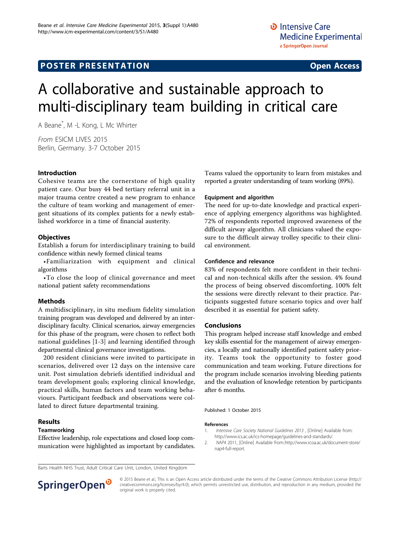# A collaborative and sustainable approach to multi-disciplinary team building in critical care

A Beane\* , M -L Kong, L Mc Whirter

From ESICM LIVES 2015 Berlin, Germany. 3-7 October 2015

#### Introduction

Cohesive teams are the cornerstone of high quality patient care. Our busy 44 bed tertiary referral unit in a major trauma centre created a new program to enhance the culture of team working and management of emergent situations of its complex patients for a newly established workforce in a time of financial austerity.

#### **Objectives**

Establish a forum for interdisciplinary training to build confidence within newly formed clinical teams

•Familiarization with equipment and clinical algorithms

•To close the loop of clinical governance and meet national patient safety recommendations

### Methods

A multidisciplinary, in situ medium fidelity simulation training program was developed and delivered by an interdisciplinary faculty. Clinical scenarios, airway emergencies for this phase of the program, were chosen to reflect both national guidelines [1-[3\]](#page-1-0) and learning identified through departmental clinical governance investigations.

200 resident clinicians were invited to participate in scenarios, delivered over 12 days on the intensive care unit. Post simulation debriefs identified individual and team development goals; exploring clinical knowledge, practical skills, human factors and team working behaviours. Participant feedback and observations were collated to direct future departmental training.

#### Results

#### **Teamworking**

Effective leadership, role expectations and closed loop communication were highlighted as important by candidates. Teams valued the opportunity to learn from mistakes and reported a greater understanding of team working (89%).

#### Equipment and algorithm

The need for up-to-date knowledge and practical experience of applying emergency algorithms was highlighted. 72% of respondents reported improved awareness of the difficult airway algorithm. All clinicians valued the exposure to the difficult airway trolley specific to their clinical environment.

#### Confidence and relevance

83% of respondents felt more confident in their technical and non-technical skills after the session. 4% found the process of being observed discomforting. 100% felt the sessions were directly relevant to their practice. Participants suggested future scenario topics and over half described it as essential for patient safety.

#### Conclusions

This program helped increase staff knowledge and embed key skills essential for the management of airway emergencies, a locally and nationally identified patient safety priority. Teams took the opportunity to foster good communication and team working. Future directions for the program include scenarios involving bleeding patients and the evaluation of knowledge retention by participants after 6 months.

Published: 1 October 2015

#### References

- 1. Intensive Care Society National Guidelines 2013 , [Online] Available from: http://www.ics.ac.uk/ics-homepage/guidelines-and-standards/.
- 2. NAP4 2011, [Online] Available from::http://www.rcoa.ac.uk/document-store/ nap4-full-report.

Barts Health NHS Trust, Adult Critical Care Unit, London, United Kingdom



© 2015 Beane et al.; This is an Open Access article distributed under the terms of the Creative Commons Attribution License [\(http://](http://creativecommons.org/licenses/by/4.0) [creativecommons.org/licenses/by/4.0](http://creativecommons.org/licenses/by/4.0)), which permits unrestricted use, distribution, and reproduction in any medium, provided the original work is properly cited.